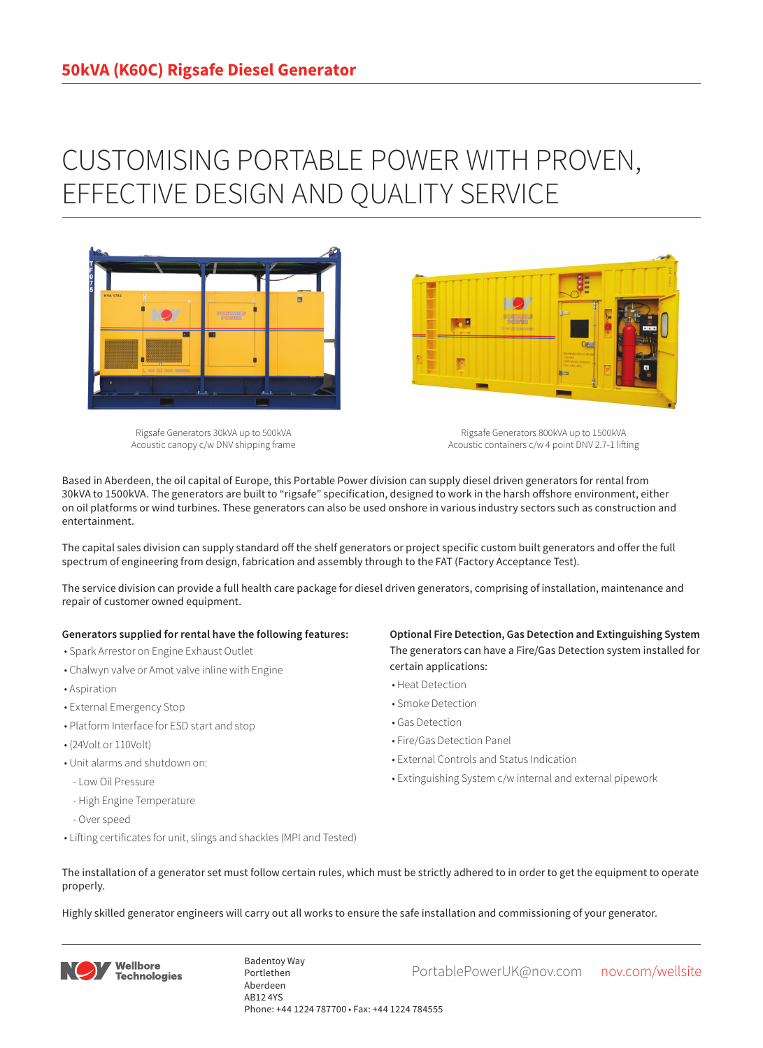## CUSTOMISING PORTABLE POWER WITH PROVEN, EFFECTIVE DESIGN AND QUALITY SERVICE



Rigsafe Generators 30kVA up to 500kVA Acoustic canopy c/w DNV shipping frame

Rigsafe Generators 800kVA up to 1500kVA Acoustic containers c/w 4 point DNV 2.7-1 lifting

Based in Aberdeen, the oil capital of Europe, this Portable Power division can supply diesel driven generators for rental from 30kVA to 1500kVA. The generators are built to "rigsafe" specification, designed to work in the harsh offshore environment, either on oil platforms or wind turbines. These generators can also be used onshore in various industry sectors such as construction and entertainment.

The capital sales division can supply standard off the shelf generators or project specific custom built generators and offer the full spectrum of engineering from design, fabrication and assembly through to the FAT (Factory Acceptance Test).

The service division can provide a full health care package for diesel driven generators, comprising of installation, maintenance and repair of customer owned equipment.

## **Generators supplied for rental have the following features:**

- Spark Arrestor on Engine Exhaust Outlet
- Chalwyn valve or Amot valve inline with Engine
- Aspiration
- External Emergency Stop
- Platform Interface for ESD start and stop
- (24Volt or 110Volt)
- Unit alarms and shutdown on:
- Low Oil Pressure
- High Engine Temperature
- Over speed
- Lifting certificates for unit, slings and shackles (MPI and Tested)

## **Optional Fire Detection, Gas Detection and Extinguishing System** The generators can have a Fire/Gas Detection system installed for certain applications:

- Heat Detection
- Smoke Detection
- Gas Detection
- Fire/Gas Detection Panel

**Designation** 

- External Controls and Status Indication
- Extinguishing System c/w internal and external pipework
- The installation of a generator set must follow certain rules, which must be strictly adhered to in order to get the equipment to operate properly.

Highly skilled generator engineers will carry out all works to ensure the safe installation and commissioning of your generator.



Badentoy Way<br>PortablePowerUK@nov.com nov.com/wellsite Portlethen Aberdeen AB12 4YS Phone: +44 1224 787700 • Fax: +44 1224 784555